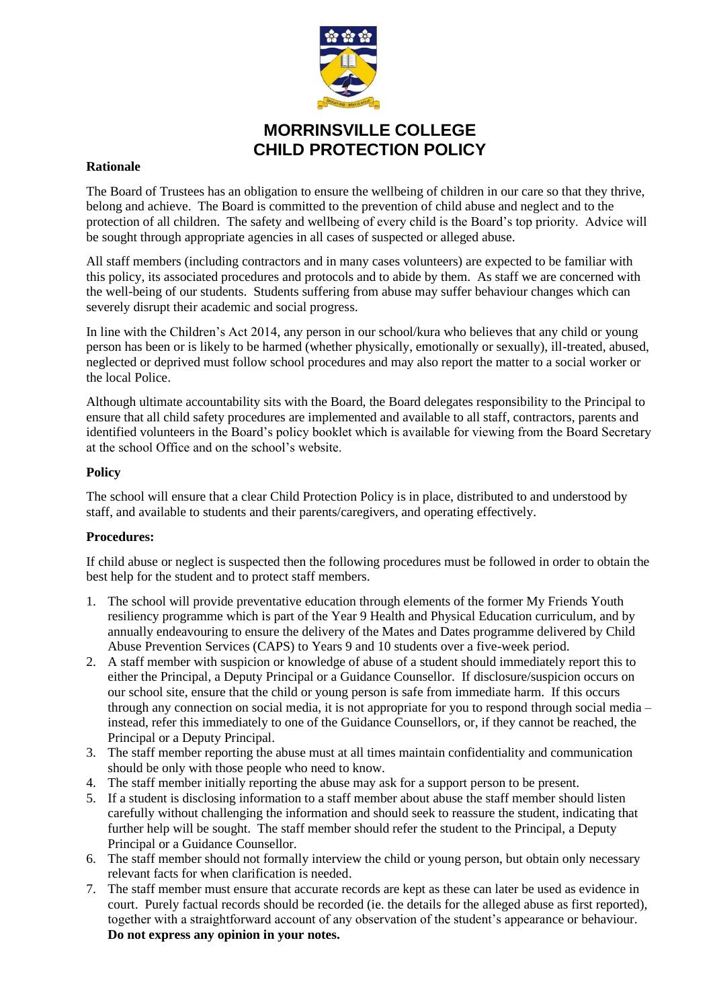

# **MORRINSVILLE COLLEGE CHILD PROTECTION POLICY**

#### **Rationale**

The Board of Trustees has an obligation to ensure the wellbeing of children in our care so that they thrive, belong and achieve. The Board is committed to the prevention of child abuse and neglect and to the protection of all children. The safety and wellbeing of every child is the Board's top priority. Advice will be sought through appropriate agencies in all cases of suspected or alleged abuse.

All staff members (including contractors and in many cases volunteers) are expected to be familiar with this policy, its associated procedures and protocols and to abide by them. As staff we are concerned with the well-being of our students. Students suffering from abuse may suffer behaviour changes which can severely disrupt their academic and social progress.

In line with the Children's Act 2014, any person in our school/kura who believes that any child or young person has been or is likely to be harmed (whether physically, emotionally or sexually), ill-treated, abused, neglected or deprived must follow school procedures and may also report the matter to a social worker or the local Police.

Although ultimate accountability sits with the Board, the Board delegates responsibility to the Principal to ensure that all child safety procedures are implemented and available to all staff, contractors, parents and identified volunteers in the Board's policy booklet which is available for viewing from the Board Secretary at the school Office and on the school's website.

### **Policy**

The school will ensure that a clear Child Protection Policy is in place, distributed to and understood by staff, and available to students and their parents/caregivers, and operating effectively.

### **Procedures:**

If child abuse or neglect is suspected then the following procedures must be followed in order to obtain the best help for the student and to protect staff members.

- 1. The school will provide preventative education through elements of the former My Friends Youth resiliency programme which is part of the Year 9 Health and Physical Education curriculum, and by annually endeavouring to ensure the delivery of the Mates and Dates programme delivered by Child Abuse Prevention Services (CAPS) to Years 9 and 10 students over a five-week period.
- 2. A staff member with suspicion or knowledge of abuse of a student should immediately report this to either the Principal, a Deputy Principal or a Guidance Counsellor. If disclosure/suspicion occurs on our school site, ensure that the child or young person is safe from immediate harm. If this occurs through any connection on social media, it is not appropriate for you to respond through social media – instead, refer this immediately to one of the Guidance Counsellors, or, if they cannot be reached, the Principal or a Deputy Principal.
- 3. The staff member reporting the abuse must at all times maintain confidentiality and communication should be only with those people who need to know.
- 4. The staff member initially reporting the abuse may ask for a support person to be present.
- 5. If a student is disclosing information to a staff member about abuse the staff member should listen carefully without challenging the information and should seek to reassure the student, indicating that further help will be sought. The staff member should refer the student to the Principal, a Deputy Principal or a Guidance Counsellor.
- 6. The staff member should not formally interview the child or young person, but obtain only necessary relevant facts for when clarification is needed.
- 7. The staff member must ensure that accurate records are kept as these can later be used as evidence in court. Purely factual records should be recorded (ie. the details for the alleged abuse as first reported), together with a straightforward account of any observation of the student's appearance or behaviour. **Do not express any opinion in your notes.**